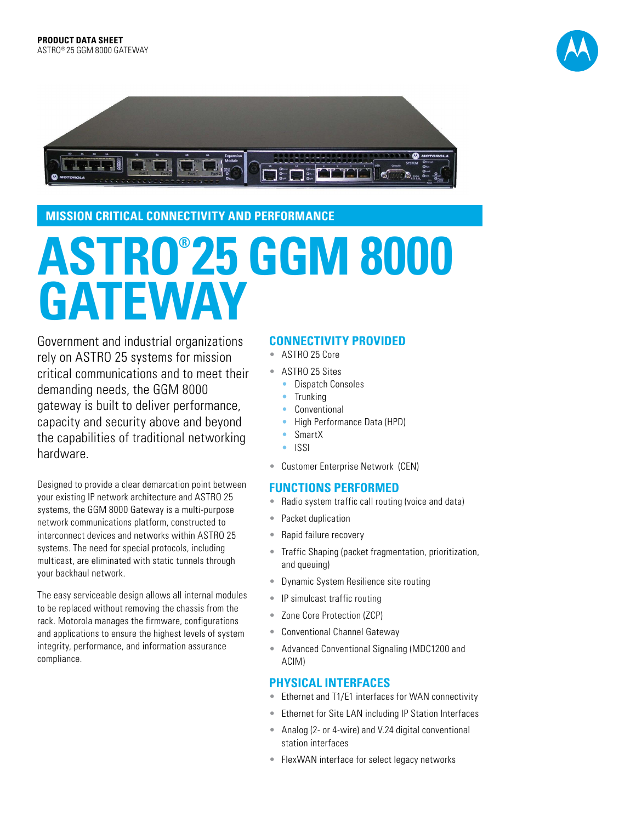



### **MISSION CRITICAL CONNECTIVITY AND PERFORMANCE**

# **ASTRO® 25 GGM 8000 GATEWAY**

Government and industrial organizations rely on ASTRO 25 systems for mission critical communications and to meet their demanding needs, the GGM 8000 gateway is built to deliver performance, capacity and security above and beyond the capabilities of traditional networking hardware.

Designed to provide a clear demarcation point between your existing IP network architecture and ASTRO 25 systems, the GGM 8000 Gateway is a multi-purpose network communications platform, constructed to interconnect devices and networks within ASTRO 25 systems. The need for special protocols, including multicast, are eliminated with static tunnels through your backhaul network.

The easy serviceable design allows all internal modules to be replaced without removing the chassis from the rack. Motorola manages the firmware, configurations and applications to ensure the highest levels of system integrity, performance, and information assurance compliance.

#### **CONNECTIVITY PROVIDED**

- ASTRO 25 Core
- ASTRO 25 Sites
	- Dispatch Consoles
	- Trunking
	- **Conventional**
	- High Performance Data (HPD)
	- SmartX
	- ISSI
- Customer Enterprise Network (CEN)

### **FUNCTIONS PERFORMED**

- Radio system traffic call routing (voice and data)
- Packet duplication
- Rapid failure recovery
- Traffic Shaping (packet fragmentation, prioritization, and queuing)
- Dynamic System Resilience site routing
- IP simulcast traffic routing
- Zone Core Protection (ZCP)
- Conventional Channel Gateway
- Advanced Conventional Signaling (MDC1200 and ACIM)

## **PHYSICAL INTERFACES**

- Ethernet and T1/E1 interfaces for WAN connectivity
- Ethernet for Site LAN including IP Station Interfaces
- Analog (2- or 4-wire) and V.24 digital conventional station interfaces
- FlexWAN interface for select legacy networks